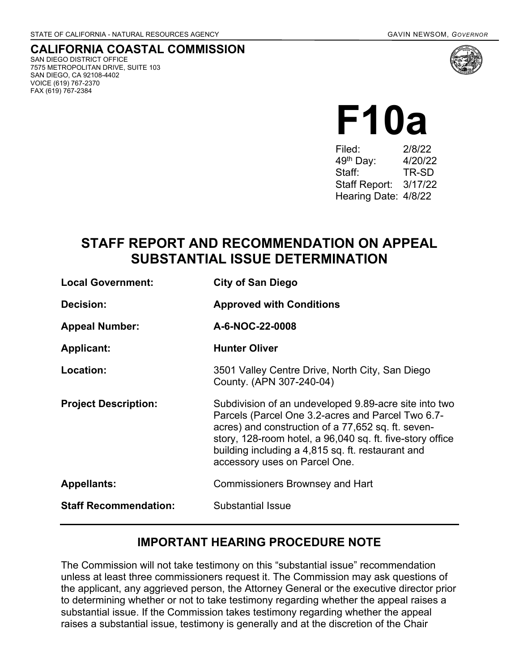**CALIFORNIA COASTAL COMMISSION** SAN DIEGO DISTRICT OFFICE 7575 METROPOLITAN DRIVE, SUITE 103 SAN DIEGO, CA 92108-4402 VOICE (619) 767-2370 FAX (619) 767-2384

| Filed:                | 2/8/22  |
|-----------------------|---------|
| 49 <sup>th</sup> Day: | 4/20/22 |
| Staff:                | TR-SD   |
| <b>Staff Report:</b>  | 3/17/22 |
| Hearing Date: 4/8/22  |         |

# **STAFF REPORT AND RECOMMENDATION ON APPEAL SUBSTANTIAL ISSUE DETERMINATION**

| <b>Local Government:</b>     | <b>City of San Diego</b>                                                                                                                                                                                                                                                                                            |
|------------------------------|---------------------------------------------------------------------------------------------------------------------------------------------------------------------------------------------------------------------------------------------------------------------------------------------------------------------|
| Decision:                    | <b>Approved with Conditions</b>                                                                                                                                                                                                                                                                                     |
| <b>Appeal Number:</b>        | A-6-NOC-22-0008                                                                                                                                                                                                                                                                                                     |
| <b>Applicant:</b>            | <b>Hunter Oliver</b>                                                                                                                                                                                                                                                                                                |
| Location:                    | 3501 Valley Centre Drive, North City, San Diego<br>County. (APN 307-240-04)                                                                                                                                                                                                                                         |
| <b>Project Description:</b>  | Subdivision of an undeveloped 9.89-acre site into two<br>Parcels (Parcel One 3.2-acres and Parcel Two 6.7-<br>acres) and construction of a 77,652 sq. ft. seven-<br>story, 128-room hotel, a 96,040 sq. ft. five-story office<br>building including a 4,815 sq. ft. restaurant and<br>accessory uses on Parcel One. |
| <b>Appellants:</b>           | <b>Commissioners Brownsey and Hart</b>                                                                                                                                                                                                                                                                              |
| <b>Staff Recommendation:</b> | <b>Substantial Issue</b>                                                                                                                                                                                                                                                                                            |

### **IMPORTANT HEARING PROCEDURE NOTE**

The Commission will not take testimony on this "substantial issue" recommendation unless at least three commissioners request it. The Commission may ask questions of the applicant, any aggrieved person, the Attorney General or the executive director prior to determining whether or not to take testimony regarding whether the appeal raises a substantial issue. If the Commission takes testimony regarding whether the appeal raises a substantial issue, testimony is generally and at the discretion of the Chair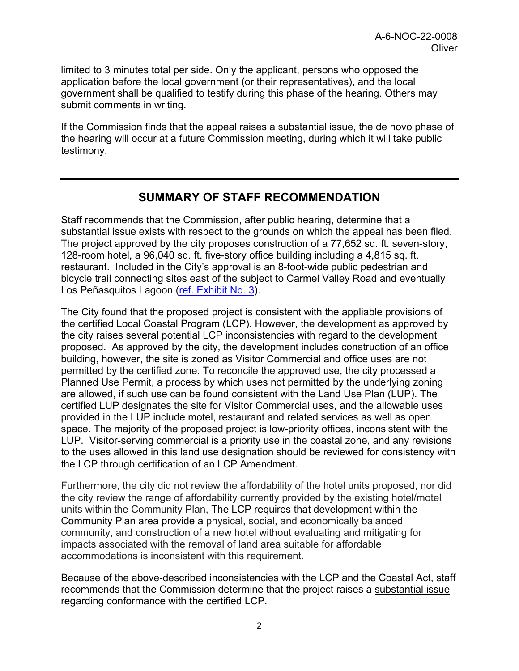limited to 3 minutes total per side. Only the applicant, persons who opposed the application before the local government (or their representatives), and the local government shall be qualified to testify during this phase of the hearing. Others may submit comments in writing.

If the Commission finds that the appeal raises a substantial issue, the de novo phase of the hearing will occur at a future Commission meeting, during which it will take public testimony.

### **SUMMARY OF STAFF RECOMMENDATION**

Staff recommends that the Commission, after public hearing, determine that a substantial issue exists with respect to the grounds on which the appeal has been filed. The project approved by the city proposes construction of a 77,652 sq. ft. seven-story, 128-room hotel, a 96,040 sq. ft. five-story office building including a 4,815 sq. ft. restaurant. Included in the City's approval is an 8-foot-wide public pedestrian and bicycle trail connecting sites east of the subject to Carmel Valley Road and eventually Los Peñasquitos Lagoon [\(ref. Exhibit No. 3\)](https://documents.coastal.ca.gov/reports/2022/4/F10a/F10a-4-2022-exhibits.pdf).

The City found that the proposed project is consistent with the appliable provisions of the certified Local Coastal Program (LCP). However, the development as approved by the city raises several potential LCP inconsistencies with regard to the development proposed. As approved by the city, the development includes construction of an office building, however, the site is zoned as Visitor Commercial and office uses are not permitted by the certified zone. To reconcile the approved use, the city processed a Planned Use Permit, a process by which uses not permitted by the underlying zoning are allowed, if such use can be found consistent with the Land Use Plan (LUP). The certified LUP designates the site for Visitor Commercial uses, and the allowable uses provided in the LUP include motel, restaurant and related services as well as open space. The majority of the proposed project is low-priority offices, inconsistent with the LUP. Visitor-serving commercial is a priority use in the coastal zone, and any revisions to the uses allowed in this land use designation should be reviewed for consistency with the LCP through certification of an LCP Amendment.

Furthermore, the city did not review the affordability of the hotel units proposed, nor did the city review the range of affordability currently provided by the existing hotel/motel units within the Community Plan, The LCP requires that development within the Community Plan area provide a physical, social, and economically balanced community, and construction of a new hotel without evaluating and mitigating for impacts associated with the removal of land area suitable for affordable accommodations is inconsistent with this requirement.

Because of the above-described inconsistencies with the LCP and the Coastal Act, staff recommends that the Commission determine that the project raises a substantial issue regarding conformance with the certified LCP.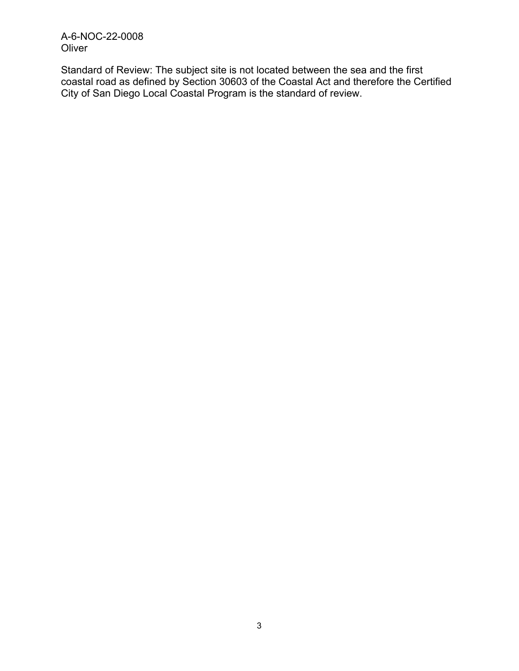A-6-NOC-22-0008 **Oliver** 

Standard of Review: The subject site is not located between the sea and the first coastal road as defined by Section 30603 of the Coastal Act and therefore the Certified City of San Diego Local Coastal Program is the standard of review.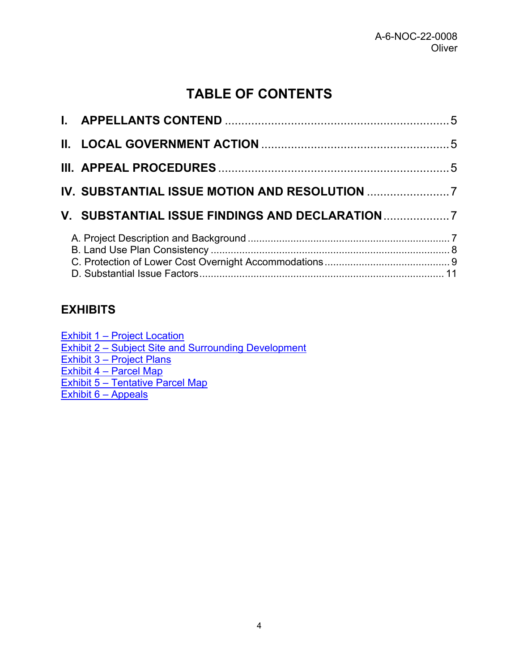# **TABLE OF CONTENTS**

| V. SUBSTANTIAL ISSUE FINDINGS AND DECLARATION |  |
|-----------------------------------------------|--|
|                                               |  |

### **EXHIBITS**

| Exhibit 1 – Project Location                         |
|------------------------------------------------------|
| Exhibit 2 – Subject Site and Surrounding Development |
| Exhibit 3 - Project Plans                            |
| Exhibit 4 – Parcel Map                               |
| Exhibit 5 - Tentative Parcel Map                     |
| Exhibit 6 - Appeals                                  |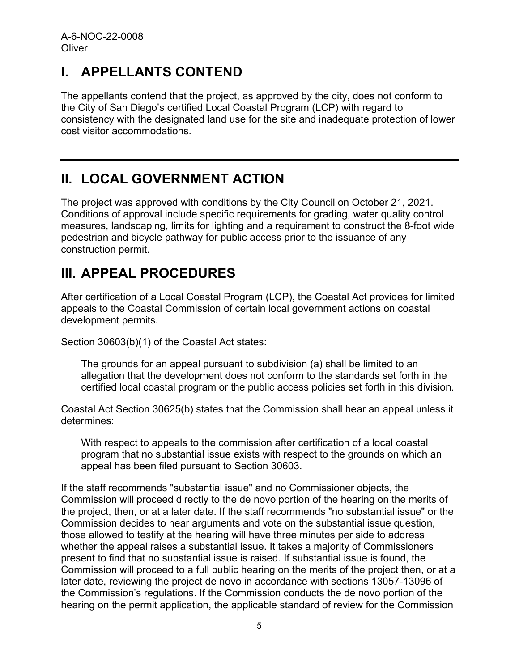# <span id="page-4-0"></span>**I. APPELLANTS CONTEND**

The appellants contend that the project, as approved by the city, does not conform to the City of San Diego's certified Local Coastal Program (LCP) with regard to consistency with the designated land use for the site and inadequate protection of lower cost visitor accommodations.

# <span id="page-4-1"></span>**II. LOCAL GOVERNMENT ACTION**

The project was approved with conditions by the City Council on October 21, 2021. Conditions of approval include specific requirements for grading, water quality control measures, landscaping, limits for lighting and a requirement to construct the 8-foot wide pedestrian and bicycle pathway for public access prior to the issuance of any construction permit.

# <span id="page-4-2"></span>**III. APPEAL PROCEDURES**

After certification of a Local Coastal Program (LCP), the Coastal Act provides for limited appeals to the Coastal Commission of certain local government actions on coastal development permits.

Section 30603(b)(1) of the Coastal Act states:

The grounds for an appeal pursuant to subdivision (a) shall be limited to an allegation that the development does not conform to the standards set forth in the certified local coastal program or the public access policies set forth in this division.

Coastal Act Section 30625(b) states that the Commission shall hear an appeal unless it determines:

With respect to appeals to the commission after certification of a local coastal program that no substantial issue exists with respect to the grounds on which an appeal has been filed pursuant to Section 30603.

If the staff recommends "substantial issue" and no Commissioner objects, the Commission will proceed directly to the de novo portion of the hearing on the merits of the project, then, or at a later date. If the staff recommends "no substantial issue" or the Commission decides to hear arguments and vote on the substantial issue question, those allowed to testify at the hearing will have three minutes per side to address whether the appeal raises a substantial issue. It takes a majority of Commissioners present to find that no substantial issue is raised. If substantial issue is found, the Commission will proceed to a full public hearing on the merits of the project then, or at a later date, reviewing the project de novo in accordance with sections 13057-13096 of the Commission's regulations. If the Commission conducts the de novo portion of the hearing on the permit application, the applicable standard of review for the Commission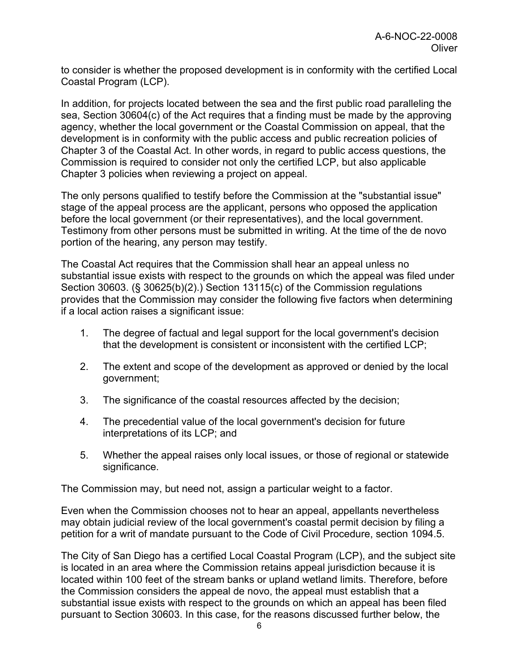to consider is whether the proposed development is in conformity with the certified Local Coastal Program (LCP).

In addition, for projects located between the sea and the first public road paralleling the sea, Section 30604(c) of the Act requires that a finding must be made by the approving agency, whether the local government or the Coastal Commission on appeal, that the development is in conformity with the public access and public recreation policies of Chapter 3 of the Coastal Act. In other words, in regard to public access questions, the Commission is required to consider not only the certified LCP, but also applicable Chapter 3 policies when reviewing a project on appeal.

The only persons qualified to testify before the Commission at the "substantial issue" stage of the appeal process are the applicant, persons who opposed the application before the local government (or their representatives), and the local government. Testimony from other persons must be submitted in writing. At the time of the de novo portion of the hearing, any person may testify.

The Coastal Act requires that the Commission shall hear an appeal unless no substantial issue exists with respect to the grounds on which the appeal was filed under Section 30603. (§ 30625(b)(2).) Section 13115(c) of the Commission regulations provides that the Commission may consider the following five factors when determining if a local action raises a significant issue:

- 1. The degree of factual and legal support for the local government's decision that the development is consistent or inconsistent with the certified LCP;
- 2. The extent and scope of the development as approved or denied by the local government;
- 3. The significance of the coastal resources affected by the decision;
- 4. The precedential value of the local government's decision for future interpretations of its LCP; and
- 5. Whether the appeal raises only local issues, or those of regional or statewide significance.

The Commission may, but need not, assign a particular weight to a factor.

Even when the Commission chooses not to hear an appeal, appellants nevertheless may obtain judicial review of the local government's coastal permit decision by filing a petition for a writ of mandate pursuant to the Code of Civil Procedure, section 1094.5.

The City of San Diego has a certified Local Coastal Program (LCP), and the subject site is located in an area where the Commission retains appeal jurisdiction because it is located within 100 feet of the stream banks or upland wetland limits. Therefore, before the Commission considers the appeal de novo, the appeal must establish that a substantial issue exists with respect to the grounds on which an appeal has been filed pursuant to Section 30603. In this case, for the reasons discussed further below, the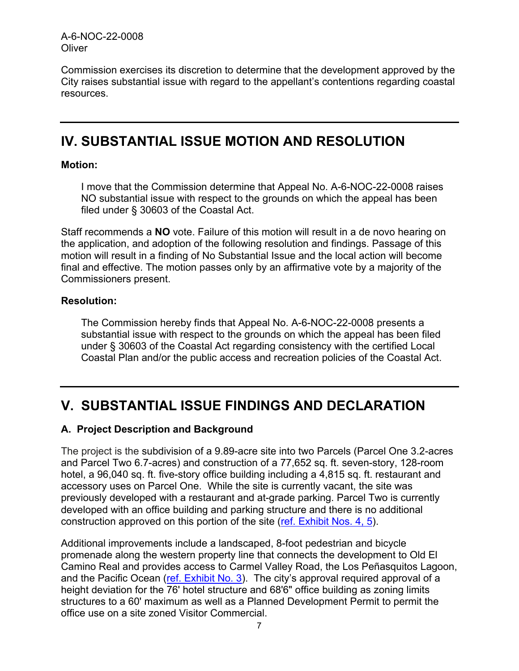A-6-NOC-22-0008 **Oliver** 

Commission exercises its discretion to determine that the development approved by the City raises substantial issue with regard to the appellant's contentions regarding coastal resources.

## <span id="page-6-0"></span>**IV. SUBSTANTIAL ISSUE MOTION AND RESOLUTION**

#### **Motion:**

I move that the Commission determine that Appeal No. A-6-NOC-22-0008 raises NO substantial issue with respect to the grounds on which the appeal has been filed under § 30603 of the Coastal Act.

Staff recommends a **NO** vote. Failure of this motion will result in a de novo hearing on the application, and adoption of the following resolution and findings. Passage of this motion will result in a finding of No Substantial Issue and the local action will become final and effective. The motion passes only by an affirmative vote by a majority of the Commissioners present.

#### **Resolution:**

The Commission hereby finds that Appeal No. A-6-NOC-22-0008 presents a substantial issue with respect to the grounds on which the appeal has been filed under § 30603 of the Coastal Act regarding consistency with the certified Local Coastal Plan and/or the public access and recreation policies of the Coastal Act.

## <span id="page-6-1"></span>**V. SUBSTANTIAL ISSUE FINDINGS AND DECLARATION**

#### <span id="page-6-2"></span>**A. Project Description and Background**

The project is the subdivision of a 9.89-acre site into two Parcels (Parcel One 3.2-acres and Parcel Two 6.7-acres) and construction of a 77,652 sq. ft. seven-story, 128-room hotel, a 96,040 sq. ft. five-story office building including a 4,815 sq. ft. restaurant and accessory uses on Parcel One. While the site is currently vacant, the site was previously developed with a restaurant and at-grade parking. Parcel Two is currently developed with an office building and parking structure and there is no additional construction approved on this portion of the site [\(ref. Exhibit Nos. 4, 5\)](https://documents.coastal.ca.gov/reports/2022/4/F10a/F10a-4-2022-exhibits.pdf).

Additional improvements include a landscaped, 8-foot pedestrian and bicycle promenade along the western property line that connects the development to Old El Camino Real and provides access to Carmel Valley Road, the Los Peñasquitos Lagoon, and the Pacific Ocean [\(ref. Exhibit No. 3\)](https://documents.coastal.ca.gov/reports/2022/4/F10a/F10a-4-2022-exhibits.pdf). The city's approval required approval of a height deviation for the 76' hotel structure and 68'6" office building as zoning limits structures to a 60' maximum as well as a Planned Development Permit to permit the office use on a site zoned Visitor Commercial.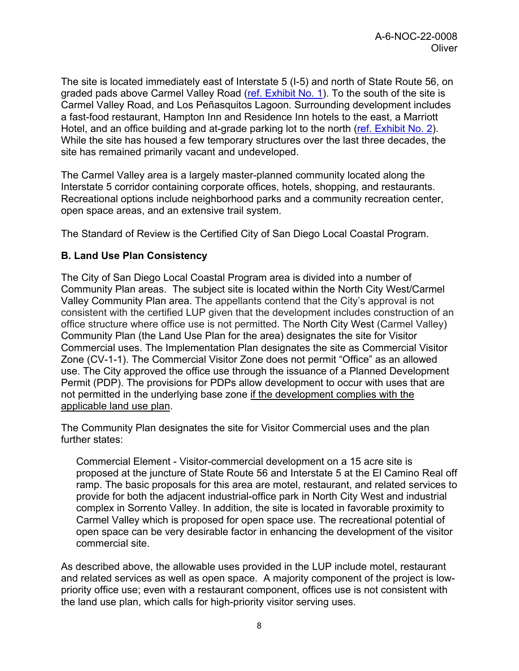The site is located immediately east of Interstate 5 (I-5) and north of State Route 56, on graded pads above Carmel Valley Road [\(ref. Exhibit No. 1\)](https://documents.coastal.ca.gov/reports/2022/4/F10a/F10a-4-2022-exhibits.pdf). To the south of the site is Carmel Valley Road, and Los Peñasquitos Lagoon. Surrounding development includes a fast-food restaurant, Hampton Inn and Residence Inn hotels to the east, a Marriott Hotel, and an office building and at-grade parking lot to the north [\(ref. Exhibit No. 2\)](https://documents.coastal.ca.gov/reports/2022/4/F10a/F10a-4-2022-exhibits.pdf). While the site has housed a few temporary structures over the last three decades, the site has remained primarily vacant and undeveloped.

The Carmel Valley area is a largely master-planned community located along the Interstate 5 corridor containing corporate offices, hotels, shopping, and restaurants. Recreational options include neighborhood parks and a community recreation center, open space areas, and an extensive trail system.

The Standard of Review is the Certified City of San Diego Local Coastal Program.

#### <span id="page-7-0"></span>**B. Land Use Plan Consistency**

The City of San Diego Local Coastal Program area is divided into a number of Community Plan areas. The subject site is located within the North City West/Carmel Valley Community Plan area. The appellants contend that the City's approval is not consistent with the certified LUP given that the development includes construction of an office structure where office use is not permitted. The North City West (Carmel Valley) Community Plan (the Land Use Plan for the area) designates the site for Visitor Commercial uses. The Implementation Plan designates the site as Commercial Visitor Zone (CV-1-1). The Commercial Visitor Zone does not permit "Office" as an allowed use. The City approved the office use through the issuance of a Planned Development Permit (PDP). The provisions for PDPs allow development to occur with uses that are not permitted in the underlying base zone if the development complies with the applicable land use plan.

The Community Plan designates the site for Visitor Commercial uses and the plan further states:

Commercial Element - Visitor-commercial development on a 15 acre site is proposed at the juncture of State Route 56 and Interstate 5 at the El Camino Real off ramp. The basic proposals for this area are motel, restaurant, and related services to provide for both the adjacent industrial-office park in North City West and industrial complex in Sorrento Valley. In addition, the site is located in favorable proximity to Carmel Valley which is proposed for open space use. The recreational potential of open space can be very desirable factor in enhancing the development of the visitor commercial site.

As described above, the allowable uses provided in the LUP include motel, restaurant and related services as well as open space. A majority component of the project is lowpriority office use; even with a restaurant component, offices use is not consistent with the land use plan, which calls for high-priority visitor serving uses.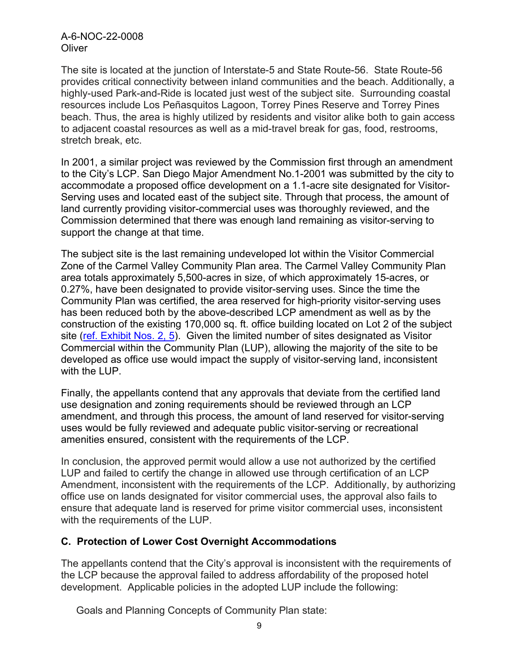A-6-NOC-22-0008 **Oliver** 

The site is located at the junction of Interstate-5 and State Route-56. State Route-56 provides critical connectivity between inland communities and the beach. Additionally, a highly-used Park-and-Ride is located just west of the subject site. Surrounding coastal resources include Los Peñasquitos Lagoon, Torrey Pines Reserve and Torrey Pines beach. Thus, the area is highly utilized by residents and visitor alike both to gain access to adjacent coastal resources as well as a mid-travel break for gas, food, restrooms, stretch break, etc.

In 2001, a similar project was reviewed by the Commission first through an amendment to the City's LCP. San Diego Major Amendment No.1-2001 was submitted by the city to accommodate a proposed office development on a 1.1-acre site designated for Visitor-Serving uses and located east of the subject site. Through that process, the amount of land currently providing visitor-commercial uses was thoroughly reviewed, and the Commission determined that there was enough land remaining as visitor-serving to support the change at that time.

The subject site is the last remaining undeveloped lot within the Visitor Commercial Zone of the Carmel Valley Community Plan area. The Carmel Valley Community Plan area totals approximately 5,500-acres in size, of which approximately 15-acres, or 0.27%, have been designated to provide visitor-serving uses. Since the time the Community Plan was certified, the area reserved for high-priority visitor-serving uses has been reduced both by the above-described LCP amendment as well as by the construction of the existing 170,000 sq. ft. office building located on Lot 2 of the subject site [\(ref. Exhibit Nos. 2, 5\)](https://documents.coastal.ca.gov/reports/2022/4/F10a/F10a-4-2022-exhibits.pdf). Given the limited number of sites designated as Visitor Commercial within the Community Plan (LUP), allowing the majority of the site to be developed as office use would impact the supply of visitor-serving land, inconsistent with the LUP.

Finally, the appellants contend that any approvals that deviate from the certified land use designation and zoning requirements should be reviewed through an LCP amendment, and through this process, the amount of land reserved for visitor-serving uses would be fully reviewed and adequate public visitor-serving or recreational amenities ensured, consistent with the requirements of the LCP.

In conclusion, the approved permit would allow a use not authorized by the certified LUP and failed to certify the change in allowed use through certification of an LCP Amendment, inconsistent with the requirements of the LCP. Additionally, by authorizing office use on lands designated for visitor commercial uses, the approval also fails to ensure that adequate land is reserved for prime visitor commercial uses, inconsistent with the requirements of the LUP.

### <span id="page-8-0"></span>**C. Protection of Lower Cost Overnight Accommodations**

The appellants contend that the City's approval is inconsistent with the requirements of the LCP because the approval failed to address affordability of the proposed hotel development. Applicable policies in the adopted LUP include the following:

Goals and Planning Concepts of Community Plan state: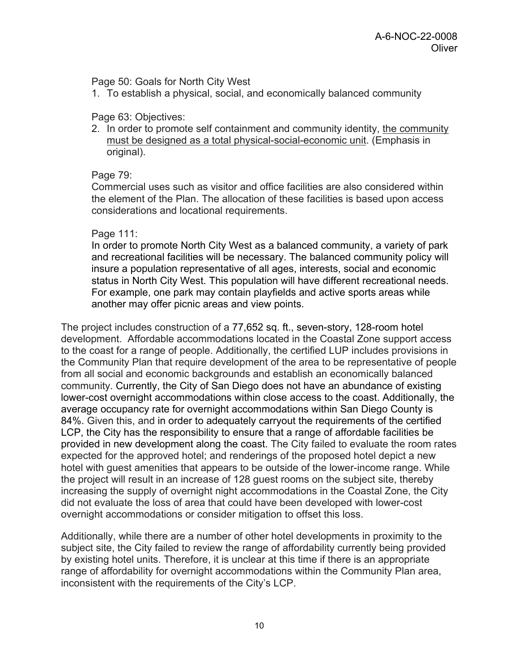Page 50: Goals for North City West

1. To establish a physical, social, and economically balanced community

#### Page 63: Objectives:

2. In order to promote self containment and community identity, the community must be designed as a total physical-social-economic unit. (Emphasis in original).

#### Page 79:

Commercial uses such as visitor and office facilities are also considered within the element of the Plan. The allocation of these facilities is based upon access considerations and locational requirements.

#### Page 111:

In order to promote North City West as a balanced community, a variety of park and recreational facilities will be necessary. The balanced community policy will insure a population representative of all ages, interests, social and economic status in North City West. This population will have different recreational needs. For example, one park may contain playfields and active sports areas while another may offer picnic areas and view points.

The project includes construction of a 77,652 sq. ft., seven-story, 128-room hotel development. Affordable accommodations located in the Coastal Zone support access to the coast for a range of people. Additionally, the certified LUP includes provisions in the Community Plan that require development of the area to be representative of people from all social and economic backgrounds and establish an economically balanced community. Currently, the City of San Diego does not have an abundance of existing lower-cost overnight accommodations within close access to the coast. Additionally, the average occupancy rate for overnight accommodations within San Diego County is 84%. Given this, and in order to adequately carryout the requirements of the certified LCP, the City has the responsibility to ensure that a range of affordable facilities be provided in new development along the coast. The City failed to evaluate the room rates expected for the approved hotel; and renderings of the proposed hotel depict a new hotel with guest amenities that appears to be outside of the lower-income range. While the project will result in an increase of 128 guest rooms on the subject site, thereby increasing the supply of overnight night accommodations in the Coastal Zone, the City did not evaluate the loss of area that could have been developed with lower-cost overnight accommodations or consider mitigation to offset this loss.

Additionally, while there are a number of other hotel developments in proximity to the subject site, the City failed to review the range of affordability currently being provided by existing hotel units. Therefore, it is unclear at this time if there is an appropriate range of affordability for overnight accommodations within the Community Plan area, inconsistent with the requirements of the City's LCP.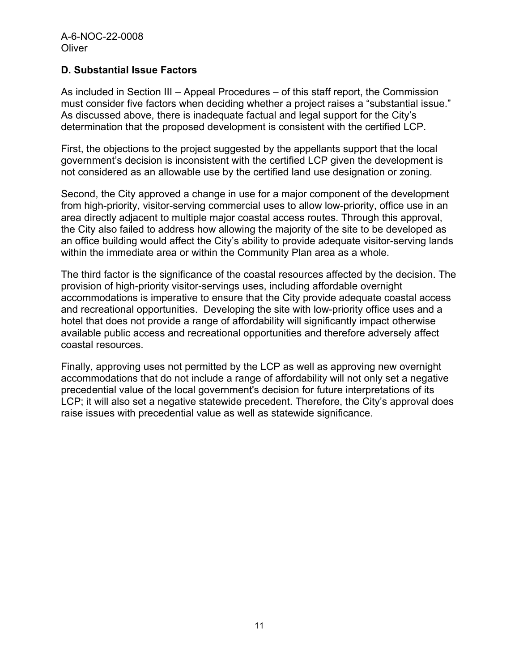#### <span id="page-10-0"></span>**D. Substantial Issue Factors**

As included in Section III – Appeal Procedures – of this staff report, the Commission must consider five factors when deciding whether a project raises a "substantial issue." As discussed above, there is inadequate factual and legal support for the City's determination that the proposed development is consistent with the certified LCP.

First, the objections to the project suggested by the appellants support that the local government's decision is inconsistent with the certified LCP given the development is not considered as an allowable use by the certified land use designation or zoning.

Second, the City approved a change in use for a major component of the development from high-priority, visitor-serving commercial uses to allow low-priority, office use in an area directly adjacent to multiple major coastal access routes. Through this approval, the City also failed to address how allowing the majority of the site to be developed as an office building would affect the City's ability to provide adequate visitor-serving lands within the immediate area or within the Community Plan area as a whole.

The third factor is the significance of the coastal resources affected by the decision. The provision of high-priority visitor-servings uses, including affordable overnight accommodations is imperative to ensure that the City provide adequate coastal access and recreational opportunities. Developing the site with low-priority office uses and a hotel that does not provide a range of affordability will significantly impact otherwise available public access and recreational opportunities and therefore adversely affect coastal resources.

Finally, approving uses not permitted by the LCP as well as approving new overnight accommodations that do not include a range of affordability will not only set a negative precedential value of the local government's decision for future interpretations of its LCP; it will also set a negative statewide precedent. Therefore, the City's approval does raise issues with precedential value as well as statewide significance.